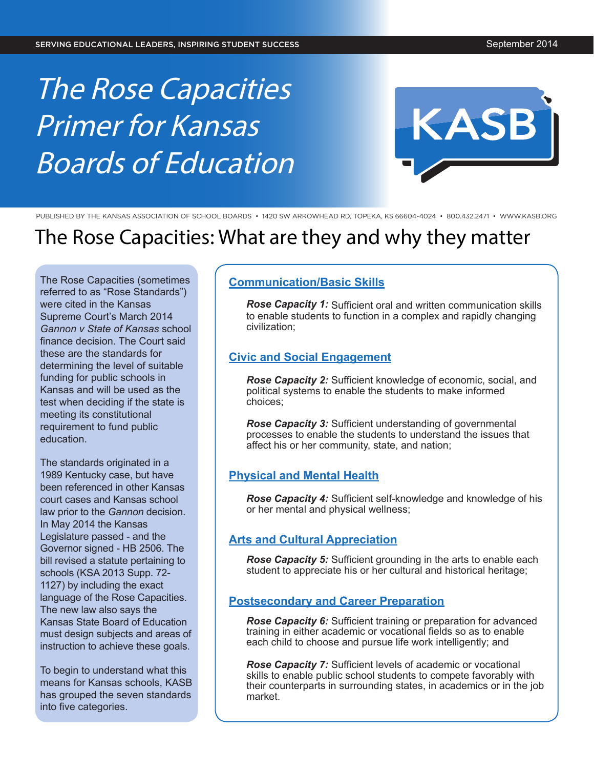# The Rose Capacities Primer for Kansas Boards of Education



PUBLISHED BY THE KANSAS ASSOCIATION OF SCHOOL BOARDS • 1420 SW ARROWHEAD RD, TOPEKA, KS 66604-4024 • 800.432.2471 • [WWW.KASB.ORG](www.kasb.org)

# The Rose Capacities: What are they and why they matter

The Rose Capacities (sometimes referred to as "Rose Standards") were cited in the Kansas Supreme Court's March 2014 *Gannon v State of Kansas* school finance decision. The Court said these are the standards for determining the level of suitable funding for public schools in Kansas and will be used as the test when deciding if the state is meeting its constitutional requirement to fund public education.

The standards originated in a 1989 Kentucky case, but have been referenced in other Kansas court cases and Kansas school law prior to the *Gannon* decision. In May 2014 the Kansas Legislature passed - and the Governor signed - HB 2506. The bill revised a statute pertaining to schools (KSA 2013 Supp. 72- 1127) by including the exact language of the Rose Capacities. The new law also says the Kansas State Board of Education must design subjects and areas of instruction to achieve these goals.

To begin to understand what this means for Kansas schools, KASB has grouped the seven standards into five categories.

## **Communication/Basic Skills**

*Rose Capacity 1:* Sufficient oral and written communication skills to enable students to function in a complex and rapidly changing civilization;

### **Civic and Social Engagement**

*Rose Capacity 2:* Sufficient knowledge of economic, social, and political systems to enable the students to make informed choices;

*Rose Capacity 3:* Sufficient understanding of governmental processes to enable the students to understand the issues that affect his or her community, state, and nation;

# **Physical and Mental Health**

*Rose Capacity 4:* Sufficient self-knowledge and knowledge of his or her mental and physical wellness;

# **Arts and Cultural Appreciation**

*Rose Capacity 5:* Sufficient grounding in the arts to enable each student to appreciate his or her cultural and historical heritage;

### **Postsecondary and Career Preparation**

*Rose Capacity 6:* Sufficient training or preparation for advanced training in either academic or vocational fields so as to enable each child to choose and pursue life work intelligently; and

*Rose Capacity 7:* Sufficient levels of academic or vocational skills to enable public school students to compete favorably with their counterparts in surrounding states, in academics or in the job market.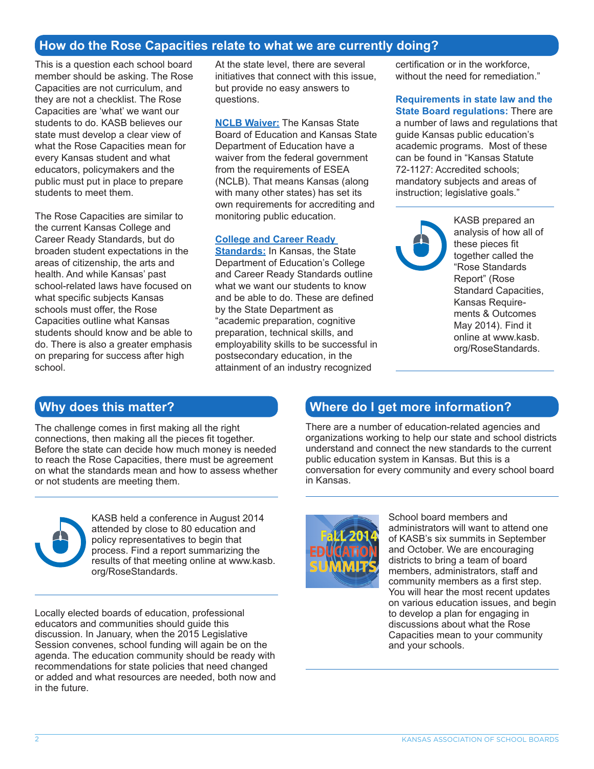# **How do the Rose Capacities relate to what we are currently doing?**

This is a question each school board member should be asking. The Rose Capacities are not curriculum, and they are not a checklist. The Rose Capacities are 'what' we want our students to do. KASB believes our state must develop a clear view of what the Rose Capacities mean for every Kansas student and what educators, policymakers and the public must put in place to prepare students to meet them.

The Rose Capacities are similar to the current Kansas College and Career Ready Standards, but do broaden student expectations in the areas of citizenship, the arts and health. And while Kansas' past school-related laws have focused on what specific subjects Kansas schools must offer, the Rose Capacities outline what Kansas students should know and be able to do. There is also a greater emphasis on preparing for success after high school.

At the state level, there are several initiatives that connect with this issue, but provide no easy answers to questions.

**NCLB Waiver:** The Kansas State Board of Education and Kansas State Department of Education have a waiver from the federal government from the requirements of ESEA (NCLB). That means Kansas (along with many other states) has set its own requirements for accrediting and monitoring public education.

#### **College and Career Ready**

**Standards:** In Kansas, the State Department of Education's College and Career Ready Standards outline what we want our students to know and be able to do. These are defined by the State Department as "academic preparation, cognitive preparation, technical skills, and employability skills to be successful in postsecondary education, in the attainment of an industry recognized

certification or in the workforce, without the need for remediation."

**Requirements in state law and the State Board regulations:** There are a number of laws and regulations that guide Kansas public education's academic programs. Most of these can be found in "Kansas Statute 72-1127: Accredited schools; mandatory subjects and areas of instruction; legislative goals."



KASB prepared an analysis of how all of these pieces fit together called the "Rose Standards Report" (Rose Standard Capacities, Kansas Requirements & Outcomes May 2014). Find it online at www.kasb. org/RoseStandards.

# **Why does this matter?**

The challenge comes in first making all the right connections, then making all the pieces fit together. Before the state can decide how much money is needed to reach the Rose Capacities, there must be agreement on what the standards mean and how to assess whether or not students are meeting them.



KASB held a conference in August 2014 attended by close to 80 education and policy representatives to begin that process. Find a report summarizing the results of that meeting online at www.kasb. org/RoseStandards.

Locally elected boards of education, professional educators and communities should guide this discussion. In January, when the 2015 Legislative Session convenes, school funding will again be on the agenda. The education community should be ready with recommendations for state policies that need changed or added and what resources are needed, both now and in the future.

# **Where do I get more information?**

There are a number of education-related agencies and organizations working to help our state and school districts understand and connect the new standards to the current public education system in Kansas. But this is a conversation for every community and every school board in Kansas.



School board members and administrators will want to attend one of KASB's six summits in September and October. We are encouraging districts to bring a team of board members, administrators, staff and community members as a first step. You will hear the most recent updates on various education issues, and begin to develop a plan for engaging in discussions about what the Rose Capacities mean to your community and your schools.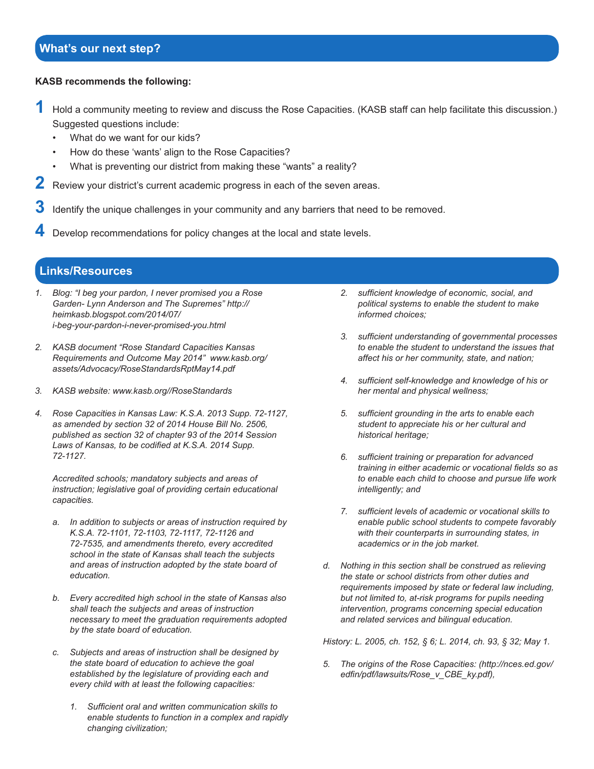# **What's our next step?**

#### **KASB recommends the following:**

- **1** Hold a community meeting to review and discuss the Rose Capacities. (KASB staff can help facilitate this discussion.) Suggested questions include:
	- What do we want for our kids?
	- How do these 'wants' align to the Rose Capacities?
	- What is preventing our district from making these "wants" a reality?
- **2** Review your district's current academic progress in each of the seven areas.
- **3** Identify the unique challenges in your community and any barriers that need to be removed.
- **4** Develop recommendations for policy changes at the local and state levels.

# **Links/Resources**

- *1. Blog: "I beg your pardon, I never promised you a Rose Garden- Lynn Anderson and The Supremes" http:// heimkasb.blogspot.com/2014/07/ i-beg-your-pardon-i-never-promised-you.html*
- *2. KASB document "Rose Standard Capacities Kansas Requirements and Outcome May 2014" www.kasb.org/ assets/Advocacy/RoseStandardsRptMay14.pdf*
- *3. KASB website: www.kasb.org//RoseStandards*
- *4. Rose Capacities in Kansas Law: K.S.A. 2013 Supp. 72-1127, as amended by section 32 of 2014 House Bill No. 2506, published as section 32 of chapter 93 of the 2014 Session*  Laws of Kansas, to be codified at K.S.A. 2014 Supp. *72-1127.*

*Accredited schools; mandatory subjects and areas of instruction; legislative goal of providing certain educational capacities.* 

- *a. In addition to subjects or areas of instruction required by K.S.A. 72-1101, 72-1103, 72-1117, 72-1126 and 72-7535, and amendments thereto, every accredited school in the state of Kansas shall teach the subjects and areas of instruction adopted by the state board of education.*
- *b. Every accredited high school in the state of Kansas also shall teach the subjects and areas of instruction necessary to meet the graduation requirements adopted by the state board of education.*
- *c. Subjects and areas of instruction shall be designed by the state board of education to achieve the goal established by the legislature of providing each and every child with at least the following capacities:*
	- *1. Sufficient oral and written communication skills to enable students to function in a complex and rapidly changing civilization;*
- *2. sufficient knowledge of economic, social, and political systems to enable the student to make informed choices;*
- *3. sufficient understanding of governmental processes to enable the student to understand the issues that affect his or her community, state, and nation;*
- *4. sufficient self-knowledge and knowledge of his or her mental and physical wellness;*
- *5. sufficient grounding in the arts to enable each student to appreciate his or her cultural and historical heritage;*
- *6. sufficient training or preparation for advanced training in either academic or vocational fields so as to enable each child to choose and pursue life work intelligently; and*
- *7. sufficient levels of academic or vocational skills to enable public school students to compete favorably with their counterparts in surrounding states, in academics or in the job market.*
- *d. Nothing in this section shall be construed as relieving the state or school districts from other duties and requirements imposed by state or federal law including, but not limited to, at-risk programs for pupils needing intervention, programs concerning special education and related services and bilingual education.*

*History: L. 2005, ch. 152, § 6; L. 2014, ch. 93, § 32; May 1.*

*5. The origins of the Rose Capacities: (http://nces.ed.gov/ edfin/pdf/lawsuits/Rose\_v\_CBE\_ky.pdf),*